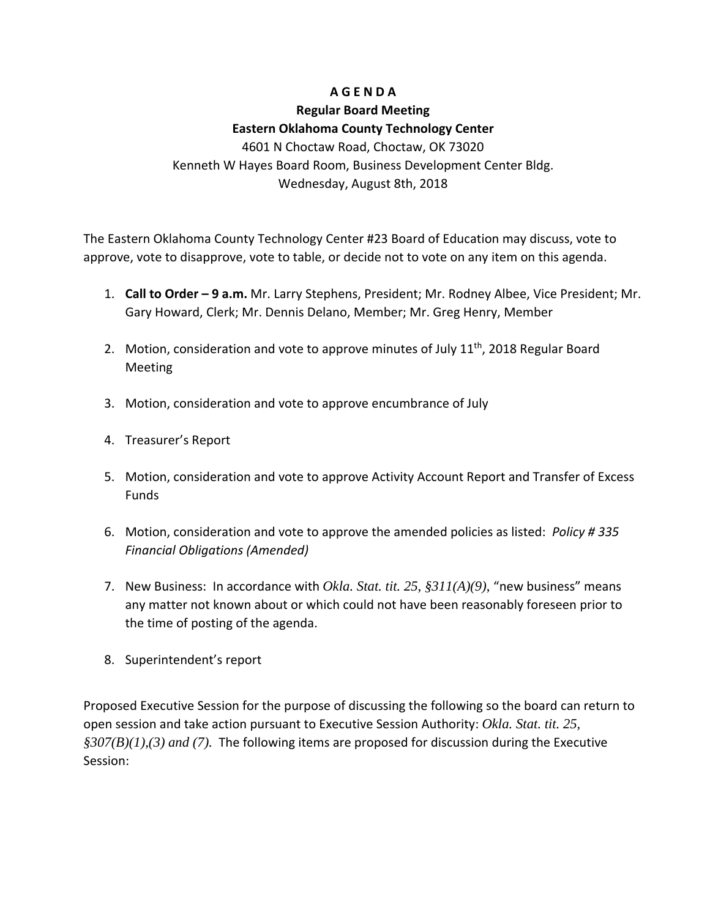## **A G E N D A**

# **Regular Board Meeting**

### **Eastern Oklahoma County Technology Center**

4601 N Choctaw Road, Choctaw, OK 73020 Kenneth W Hayes Board Room, Business Development Center Bldg. Wednesday, August 8th, 2018

The Eastern Oklahoma County Technology Center #23 Board of Education may discuss, vote to approve, vote to disapprove, vote to table, or decide not to vote on any item on this agenda.

- 1. **Call to Order – 9 a.m.** Mr. Larry Stephens, President; Mr. Rodney Albee, Vice President; Mr. Gary Howard, Clerk; Mr. Dennis Delano, Member; Mr. Greg Henry, Member
- 2. Motion, consideration and vote to approve minutes of July 11<sup>th</sup>, 2018 Regular Board Meeting
- 3. Motion, consideration and vote to approve encumbrance of July
- 4. Treasurer's Report
- 5. Motion, consideration and vote to approve Activity Account Report and Transfer of Excess Funds
- 6. Motion, consideration and vote to approve the amended policies as listed: *Policy # 335 Financial Obligations (Amended)*
- 7. New Business: In accordance with *Okla. Stat. tit. 25, §311(A)(9)*, "new business" means any matter not known about or which could not have been reasonably foreseen prior to the time of posting of the agenda.
- 8. Superintendent's report

Proposed Executive Session for the purpose of discussing the following so the board can return to open session and take action pursuant to Executive Session Authority: *Okla. Stat. tit. 25, §307(B)(1),(3) and (7).* The following items are proposed for discussion during the Executive Session: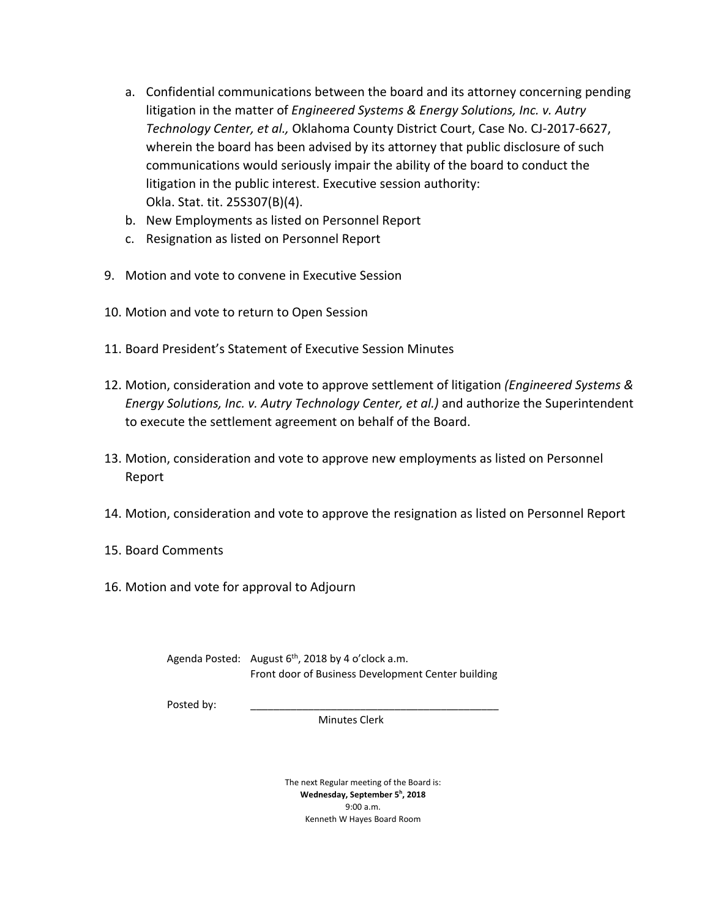- a. Confidential communications between the board and its attorney concerning pending litigation in the matter of *Engineered Systems & Energy Solutions, Inc. v. Autry Technology Center, et al.,* Oklahoma County District Court, Case No. CJ-2017-6627, wherein the board has been advised by its attorney that public disclosure of such communications would seriously impair the ability of the board to conduct the litigation in the public interest. Executive session authority: Okla. Stat. tit. 25S307(B)(4).
- b. New Employments as listed on Personnel Report
- c. Resignation as listed on Personnel Report
- 9. Motion and vote to convene in Executive Session
- 10. Motion and vote to return to Open Session
- 11. Board President's Statement of Executive Session Minutes
- 12. Motion, consideration and vote to approve settlement of litigation *(Engineered Systems & Energy Solutions, Inc. v. Autry Technology Center, et al.)* and authorize the Superintendent to execute the settlement agreement on behalf of the Board.
- 13. Motion, consideration and vote to approve new employments as listed on Personnel Report
- 14. Motion, consideration and vote to approve the resignation as listed on Personnel Report
- 15. Board Comments
- 16. Motion and vote for approval to Adjourn

Agenda Posted: August  $6<sup>th</sup>$ , 2018 by 4 o'clock a.m. Front door of Business Development Center building

Posted by:

Minutes Clerk

The next Regular meeting of the Board is: **Wednesday, September 5h , 2018** 9:00 a.m. Kenneth W Hayes Board Room